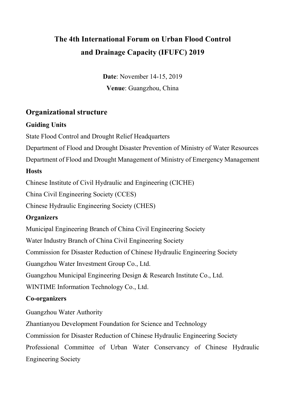# **The 4th International Forum on Urban Flood Control and Drainage Capacity (IFUFC) 2019**

**Date**: November 14-15, 2019 **Venue**: Guangzhou, China

### **Organizational structure**

#### **Guiding Units**

State Flood Control and Drought Relief Headquarters

Department of Flood and Drought Disaster Prevention of Ministry of Water Resources

Department of Flood and Drought Management of Ministry of Emergency Management

#### **Hosts**

Chinese Institute of Civil Hydraulic and Engineering (CICHE)

China Civil Engineering Society (CCES)

Chinese Hydraulic Engineering Society (CHES)

#### **Organizers**

Municipal Engineering Branch of China Civil Engineering Society

Water Industry Branch of China Civil Engineering Society

Commission for Disaster Reduction of Chinese Hydraulic Engineering Society

Guangzhou Water Investment Group Co., Ltd.

Guangzhou Municipal Engineering Design & Research Institute Co., Ltd.

WINTIME Information Technology Co., Ltd.

### **Co-organizers**

Guangzhou Water Authority

Zhantianyou Development Foundation for Science and Technology

Commission for Disaster Reduction of Chinese Hydraulic Engineering Society

Professional Committee of Urban Water Conservancy of Chinese Hydraulic Engineering Society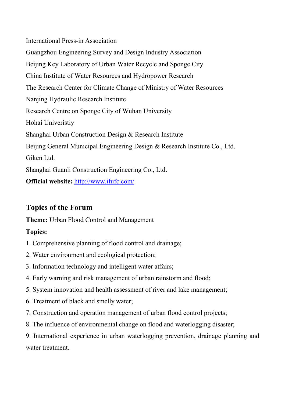International Press-in Association Guangzhou Engineering Survey and Design Industry Association Beijing Key Laboratory of Urban Water Recycle and Sponge City China Institute of Water Resources and Hydropower Research The Research Center for Climate Change of Ministry of Water Resources Nanjing Hydraulic Research Institute Research Centre on Sponge City of Wuhan University Hohai Univeristiy Shanghai Urban Construction Design & Research Institute Beijing General Municipal Engineering Design & Research Institute Co., Ltd. Giken Ltd. Shanghai Guanli Construction Engineering Co., Ltd. **Official website:** http://www.ifufc.com/

# **Topics of the Forum**

**Theme:** Urban Flood Control and Management

# **Topics:**

- 1. Comprehensive planning of flood control and drainage;
- 2. Water environment and ecological protection;
- 3. Information technology and intelligent water affairs;
- 4. Early warning and risk management of urban rainstorm and flood;
- 5. System innovation and health assessment of river and lake management;
- 6. Treatment of black and smelly water;
- 7. Construction and operation management of urban flood control projects;
- 8. The influence of environmental change on flood and waterlogging disaster;

9. International experience in urban waterlogging prevention, drainage planning and water treatment.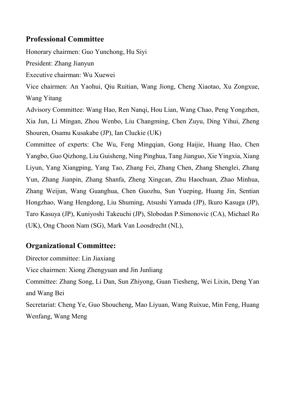#### **Professional Committee**

Honorary chairmen: Guo Yunchong, Hu Siyi

President: Zhang Jianyun

Executive chairman: Wu Xuewei

Vice chairmen: An Yaohui, Qiu Ruitian, Wang Jiong, Cheng Xiaotao, Xu Zongxue, Wang Yitang

Advisory Committee: Wang Hao, Ren Nanqi, Hou Lian, Wang Chao, Peng Yongzhen, Xia Jun, Li Mingan, Zhou Wenbo, Liu Changming, Chen Zuyu, Ding Yihui, Zheng Shouren, Osamu Kusakabe (JP), Ian Cluckie (UK)

Committee of experts: Che Wu, Feng Mingqian, Gong Haijie, Huang Hao, Chen Yangbo, Guo Qizhong, Liu Guisheng, Ning Pinghua, Tang Jianguo, Xie Yingxia, Xiang Liyun, Yang Xiangping, Yang Tao, Zhang Fei, Zhang Chen, Zhang Shenglei, Zhang Yun, Zhang Jianpin, Zhang Shanfa, Zheng Xingcan, Zhu Haochuan, Zhao Minhua, Zhang Weijun, Wang Guanghua, Chen Guozhu, Sun Yueping, Huang Jin, Sentian Hongzhao, Wang Hengdong, Liu Shuming, Atsushi Yamada (JP), Ikuro Kasuga (JP), Taro Kasuya (JP), Kuniyoshi Takeuchi (JP), Slobodan P.Simonovic (CA), Michael Ro (UK), Ong Choon Nam (SG), Mark Van Loosdrecht (NL),

### **Organizational Committee:**

Director committee: Lin Jiaxiang Vice chairmen: Xiong Zhengyuan and Jin Junliang Committee: Zhang Song, Li Dan, Sun Zhiyong, Guan Tiesheng, Wei Lixin, Deng Yan and Wang Bei Secretariat: Cheng Ye, Guo Shoucheng, Mao Liyuan, Wang Ruixue, Min Feng, Huang Wenfang, Wang Meng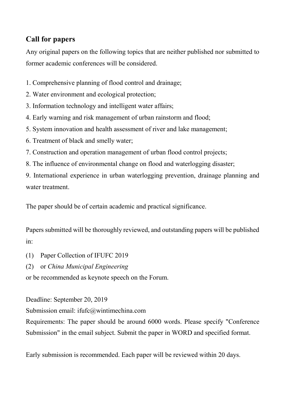# **Call for papers**

Any original papers on the following topics that are neither published nor submitted to former academic conferences will be considered.

- 1. Comprehensive planning of flood control and drainage;
- 2. Water environment and ecological protection;
- 3. Information technology and intelligent water affairs;
- 4. Early warning and risk management of urban rainstorm and flood;
- 5. System innovation and health assessment of river and lake management;
- 6. Treatment of black and smelly water;
- 7. Construction and operation management of urban flood control projects;
- 8. The influence of environmental change on flood and waterlogging disaster;

9. International experience in urban waterlogging prevention, drainage planning and water treatment.

The paper should be of certain academic and practical significance.

Papers submitted will be thoroughly reviewed, and outstanding papers will be published in:

- (1) Paper Collection of IFUFC 2019
- (2) or *China Municipal Engineering*

or be recommended as keynote speech on the Forum.

Deadline: September 20, 2019

Submission email: ifufc@wintimechina.com

Requirements: The paper should be around 6000 words. Please specify "Conference Submission" in the email subject. Submit the paper in WORD and specified format.

Early submission is recommended. Each paper will be reviewed within 20 days.